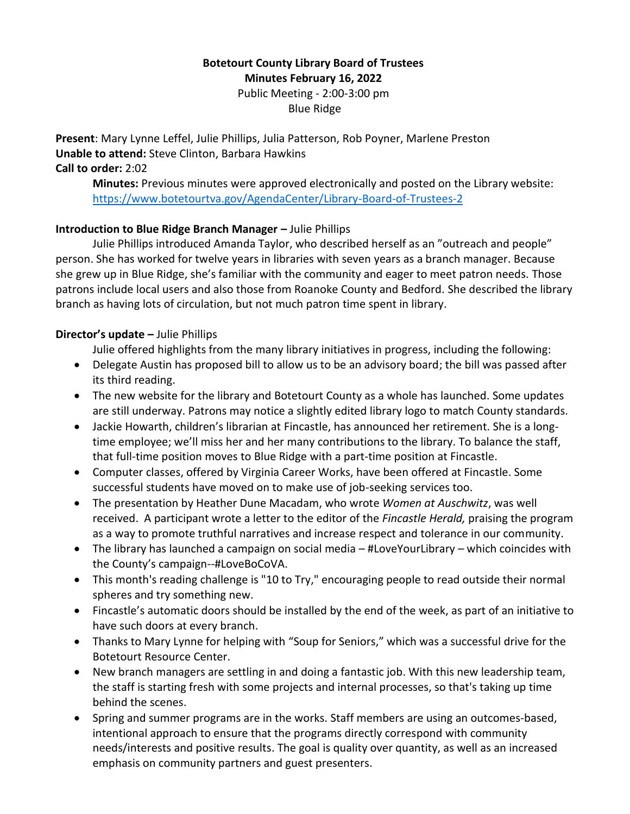# **Botetourt County Library Board of Trustees Minutes February 16, 2022**

Public Meeting - 2:00-3:00 pm Blue Ridge

**Present**: Mary Lynne Leffel, Julie Phillips, Julia Patterson, Rob Poyner, Marlene Preston **Unable to attend:** Steve Clinton, Barbara Hawkins **Call to order:** 2:02

**Minutes:** Previous minutes were approved electronically and posted on the Library website: <https://www.botetourtva.gov/AgendaCenter/Library-Board-of-Trustees-2>

## **Introduction to Blue Ridge Branch Manager – Julie Phillips**

Julie Phillips introduced Amanda Taylor, who described herself as an "outreach and people" person. She has worked for twelve years in libraries with seven years as a branch manager. Because she grew up in Blue Ridge, she's familiar with the community and eager to meet patron needs. Those patrons include local users and also those from Roanoke County and Bedford. She described the library branch as having lots of circulation, but not much patron time spent in library.

## **Director's update –** Julie Phillips

Julie offered highlights from the many library initiatives in progress, including the following:

- Delegate Austin has proposed bill to allow us to be an advisory board; the bill was passed after its third reading.
- The new website for the library and Botetourt County as a whole has launched. Some updates are still underway. Patrons may notice a slightly edited library logo to match County standards.
- Jackie Howarth, children's librarian at Fincastle, has announced her retirement. She is a longtime employee; we'll miss her and her many contributions to the library. To balance the staff, that full-time position moves to Blue Ridge with a part-time position at Fincastle.
- Computer classes, offered by Virginia Career Works, have been offered at Fincastle. Some successful students have moved on to make use of job-seeking services too.
- The presentation by Heather Dune Macadam, who wrote *Women at Auschwitz*, was well received. A participant wrote a letter to the editor of the *Fincastle Herald,* praising the program as a way to promote truthful narratives and increase respect and tolerance in our community.
- The library has launched a campaign on social media #LoveYourLibrary which coincides with the County's campaign--#LoveBoCoVA.
- This month's reading challenge is "10 to Try," encouraging people to read outside their normal spheres and try something new.
- Fincastle's automatic doors should be installed by the end of the week, as part of an initiative to have such doors at every branch.
- Thanks to Mary Lynne for helping with "Soup for Seniors," which was a successful drive for the Botetourt Resource Center.
- New branch managers are settling in and doing a fantastic job. With this new leadership team, the staff is starting fresh with some projects and internal processes, so that's taking up time behind the scenes.
- Spring and summer programs are in the works. Staff members are using an outcomes-based, intentional approach to ensure that the programs directly correspond with community needs/interests and positive results. The goal is quality over quantity, as well as an increased emphasis on community partners and guest presenters.